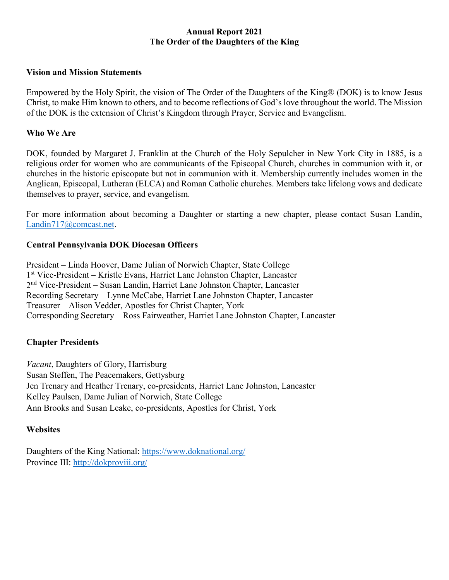### **Annual Report 2021 The Order of the Daughters of the King**

#### **Vision and Mission Statements**

Empowered by the Holy Spirit, the vision of The Order of the Daughters of the King® (DOK) is to know Jesus Christ, to make Him known to others, and to become reflections of God's love throughout the world. The Mission of the DOK is the extension of Christ's Kingdom through Prayer, Service and Evangelism.

#### **Who We Are**

DOK, founded by Margaret J. Franklin at the Church of the Holy Sepulcher in New York City in 1885, is a religious order for women who are communicants of the Episcopal Church, churches in communion with it, or churches in the historic episcopate but not in communion with it. Membership currently includes women in the Anglican, Episcopal, Lutheran (ELCA) and Roman Catholic churches. Members take lifelong vows and dedicate themselves to prayer, service, and evangelism.

For more information about becoming a Daughter or starting a new chapter, please contact Susan Landin, Landin717@comcast.net.

#### **Central Pennsylvania DOK Diocesan Officers**

President – Linda Hoover, Dame Julian of Norwich Chapter, State College 1st Vice-President – Kristle Evans, Harriet Lane Johnston Chapter, Lancaster 2nd Vice-President – Susan Landin, Harriet Lane Johnston Chapter, Lancaster Recording Secretary – Lynne McCabe, Harriet Lane Johnston Chapter, Lancaster Treasurer – Alison Vedder, Apostles for Christ Chapter, York Corresponding Secretary – Ross Fairweather, Harriet Lane Johnston Chapter, Lancaster

## **Chapter Presidents**

*Vacant*, Daughters of Glory, Harrisburg Susan Steffen, The Peacemakers, Gettysburg Jen Trenary and Heather Trenary, co-presidents, Harriet Lane Johnston, Lancaster Kelley Paulsen, Dame Julian of Norwich, State College Ann Brooks and Susan Leake, co-presidents, Apostles for Christ, York

## **Websites**

Daughters of the King National:<https://www.doknational.org/> Province III: <http://dokproviii.org/>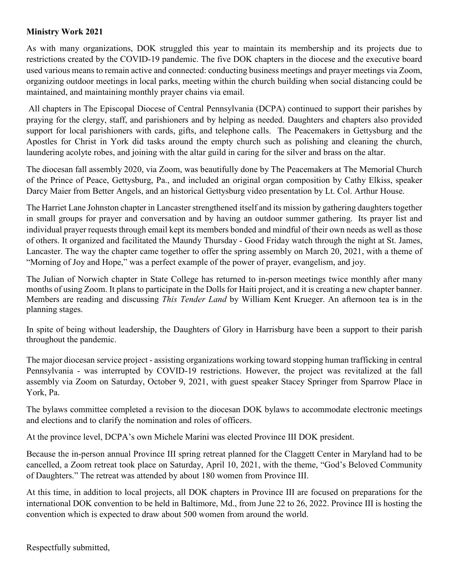# **Ministry Work 2021**

As with many organizations, DOK struggled this year to maintain its membership and its projects due to restrictions created by the COVID-19 pandemic. The five DOK chapters in the diocese and the executive board used various means to remain active and connected: conducting business meetings and prayer meetings via Zoom, organizing outdoor meetings in local parks, meeting within the church building when social distancing could be maintained, and maintaining monthly prayer chains via email.

All chapters in The Episcopal Diocese of Central Pennsylvania (DCPA) continued to support their parishes by praying for the clergy, staff, and parishioners and by helping as needed. Daughters and chapters also provided support for local parishioners with cards, gifts, and telephone calls. The Peacemakers in Gettysburg and the Apostles for Christ in York did tasks around the empty church such as polishing and cleaning the church, laundering acolyte robes, and joining with the altar guild in caring for the silver and brass on the altar.

The diocesan fall assembly 2020, via Zoom, was beautifully done by The Peacemakers at The Memorial Church of the Prince of Peace, Gettysburg, Pa., and included an original organ composition by Cathy Elkiss, speaker Darcy Maier from Better Angels, and an historical Gettysburg video presentation by Lt. Col. Arthur House.

The Harriet Lane Johnston chapter in Lancaster strengthened itself and its mission by gathering daughters together in small groups for prayer and conversation and by having an outdoor summer gathering. Its prayer list and individual prayer requests through email kept its members bonded and mindful of their own needs as well as those of others. It organized and facilitated the Maundy Thursday - Good Friday watch through the night at St. James, Lancaster. The way the chapter came together to offer the spring assembly on March 20, 2021, with a theme of "Morning of Joy and Hope," was a perfect example of the power of prayer, evangelism, and joy.

The Julian of Norwich chapter in State College has returned to in-person meetings twice monthly after many months of using Zoom. It plans to participate in the Dolls for Haiti project, and it is creating a new chapter banner. Members are reading and discussing *This Tender Land* by William Kent Krueger. An afternoon tea is in the planning stages.

In spite of being without leadership, the Daughters of Glory in Harrisburg have been a support to their parish throughout the pandemic.

The major diocesan service project - assisting organizations working toward stopping human trafficking in central Pennsylvania - was interrupted by COVID-19 restrictions. However, the project was revitalized at the fall assembly via Zoom on Saturday, October 9, 2021, with guest speaker Stacey Springer from Sparrow Place in York, Pa.

The bylaws committee completed a revision to the diocesan DOK bylaws to accommodate electronic meetings and elections and to clarify the nomination and roles of officers.

At the province level, DCPA's own Michele Marini was elected Province III DOK president.

Because the in-person annual Province III spring retreat planned for the Claggett Center in Maryland had to be cancelled, a Zoom retreat took place on Saturday, April 10, 2021, with the theme, "God's Beloved Community of Daughters." The retreat was attended by about 180 women from Province III.

At this time, in addition to local projects, all DOK chapters in Province III are focused on preparations for the international DOK convention to be held in Baltimore, Md., from June 22 to 26, 2022. Province III is hosting the convention which is expected to draw about 500 women from around the world.